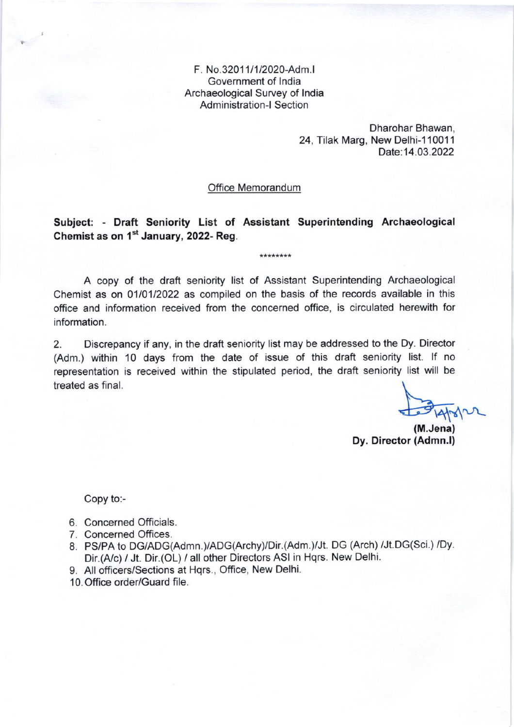F. No.3201 1/1/202o-Adm.l Government of lndia Archaeological Survey of lndia Administration-l Section

> Dharohar Bhawan, 24, Tilak Marg, New Delhi-110011 Date: 14.03.2022

Office Memorandum

## Subject; - Draft Seniority List of Assistant Superintending Archaeological Chemist as on 1<sup>st</sup> January, 2022- Reg.

\*\*\*\*\*\*\*\*

A copy of the draft seniority list of Assistant Superintending Archaeological Chemist as on 0110112022 as compiled on the basis of the records available in this office and information received from the concerned office, is circulated herewith for information.

2. Discrepancy if any, in the draft seniority list may be addressed to the Dy. Director (Adm.) within 10 days from the date of issue of this draft seniority list. lf no representation is received within the stipulated period, the draft seniority list will be treated as final.

 $\frac{1}{\sqrt{2}}\frac{1}{4\pi}$ 

(M.Jena) Dy. Director (Admn.l)

Copy to:-

- 6. Concerned Officials.
- 7. Concerned Offices.
- 8. PS/PA to DG/ADG(Admn.)/ADG(Archy)/Dir.(Adm.)/Jt. DG (Arch) /Jt.DG(Sci.) /Dv. Dir.(A/c) / Jt. Dir.(OL) / all other Directors ASI in Hqrs. New Delhi.
- 9. All officers/Sections at Hqrs., Office, New Delhi.
- 10. Office order/Guard file.